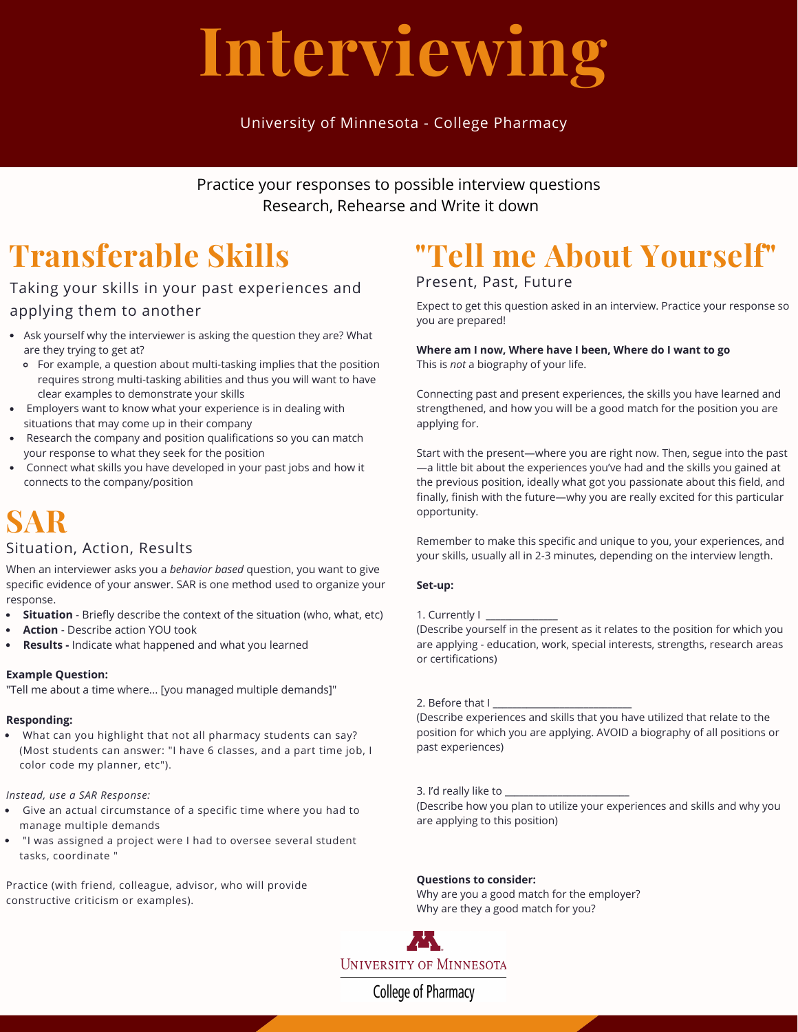# **Interviewing**

## University of Minnesota - College Pharmacy

Practice your responses to possible interview questions Research, Rehearse and Write it down

# **Transferable Skills**

## Taking your skills in your past experiences and applying them to another

- Ask yourself why the interviewer is asking the question they are? What are they trying to get at?
	- For example, a question about multi-tasking implies that the position requires strong multi-tasking abilities and thus you will want to have clear examples to demonstrate your skills
- Employers want to know what your experience is in dealing with situations that may come up in their company
- Research the company and position qualifications so you can match your response to what they seek for the position
- Connect what skills you have developed in your past jobs and how it connects to the company/position

# **SAR**

### Situation, Action, Results

When an interviewer asks you a *behavior based* question, you want to give specific evidence of your answer. SAR is one method used to organize your response.

- **Situation** Briefly describe the context of the situation (who, what, etc)  $\bullet$
- **Action** Describe action YOU took
- **Results -** Indicate what happened and what you learned

#### **Example Question:**

"Tell me about a time where... [you managed multiple demands]"

### **Responding:**

What can you highlight that not all pharmacy students can say? (Most students can answer: "I have 6 classes, and a part time job, I color code my planner, etc").

*Instead, use a SAR Response:*

- Give an actual circumstance of a specific time where you had to manage multiple demands
- "I was assigned a project were I had to oversee several student tasks, coordinate "

Practice (with friend, colleague, advisor, who will provide constructive criticism or examples).

# **"Tell me About Yourself"**

## Present, Past, Future

Expect to get this question asked in an interview. Practice your response so you are prepared!

## **Where am I now, Where have I been, Where do I want to go**

This is *not* a biography of your life.

Connecting past and present experiences, the skills you have learned and strengthened, and how you will be a good match for the position you are applying for.

Start with the present—where you are right now. Then, segue into the past —a little bit about the experiences you've had and the skills you gained at the previous position, ideally what got you passionate about this field, and finally, finish with the future—why you are really excited for this particular opportunity.

Remember to make this specific and unique to you, your experiences, and your skills, usually all in 2-3 minutes, depending on the interview length.

#### **Set-up:**

#### 1. Currently I

(Describe yourself in the present as it relates to the position for which you are applying - education, work, special interests, strengths, research areas or certifications)

#### 2. Before that I

(Describe experiences and skills that you have utilized that relate to the position for which you are applying. AVOID a biography of all positions or past experiences)

#### 3. I'd really like to

(Describe how you plan to utilize your experiences and skills and why you are applying to this position)

#### **Questions to consider:**

Why are you a good match for the employer? Why are they a good match for you?



College of Pharmacy